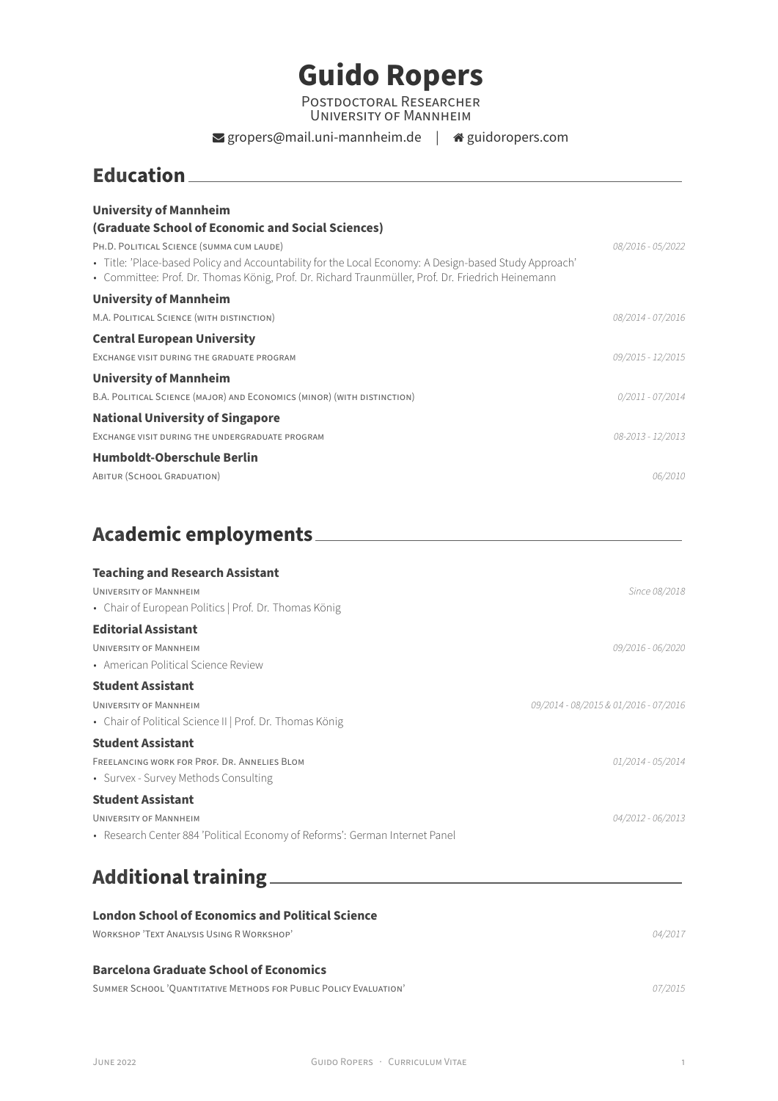# **Guido Ropers**

POSTDOCTORAL RESEARCHER UNiVERSiTY OF MANNHEiM

#### $\blacktriangleright$  gropers@mail.uni-mannheim.de |  $\blacktriangleleft$  [guidoropers.com](http://guidoropers.com)

### **Education**

| <b>University of Mannheim</b>                                                                                                                                                                              |                    |
|------------------------------------------------------------------------------------------------------------------------------------------------------------------------------------------------------------|--------------------|
| (Graduate School of Economic and Social Sciences)                                                                                                                                                          |                    |
| PH.D. POLITICAL SCIENCE (SUMMA CUM LAUDE)                                                                                                                                                                  | 08/2016 - 05/2022  |
| • Title: 'Place-based Policy and Accountability for the Local Economy: A Design-based Study Approach'<br>• Committee: Prof. Dr. Thomas König, Prof. Dr. Richard Traunmüller, Prof. Dr. Friedrich Heinemann |                    |
| <b>University of Mannheim</b>                                                                                                                                                                              |                    |
| M.A. POLITICAL SCIENCE (WITH DISTINCTION)                                                                                                                                                                  | 08/2014 - 07/2016  |
| <b>Central European University</b>                                                                                                                                                                         |                    |
| EXCHANGE VISIT DURING THE GRADUATE PROGRAM                                                                                                                                                                 | 09/2015 - 12/2015  |
| <b>University of Mannheim</b>                                                                                                                                                                              |                    |
| B.A. POLITICAL SCIENCE (MAJOR) AND ECONOMICS (MINOR) (WITH DISTINCTION)                                                                                                                                    | $0/2011 - 07/2014$ |
| <b>National University of Singapore</b>                                                                                                                                                                    |                    |
| EXCHANGE VISIT DURING THE UNDERGRADUATE PROGRAM                                                                                                                                                            | 08-2013 - 12/2013  |
| Humboldt-Oberschule Berlin                                                                                                                                                                                 |                    |
| ABITUR (SCHOOL GRADUATION)                                                                                                                                                                                 | 06/2010            |

## **Academic employments**

| <b>Teaching and Research Assistant</b>                                      |                                       |
|-----------------------------------------------------------------------------|---------------------------------------|
| UNIVERSITY OF MANNHEIM                                                      | Since 08/2018                         |
| • Chair of European Politics   Prof. Dr. Thomas König                       |                                       |
| <b>Editorial Assistant</b>                                                  |                                       |
| UNIVERSITY OF MANNHEIM                                                      | 09/2016 - 06/2020                     |
| • American Political Science Review                                         |                                       |
| <b>Student Assistant</b>                                                    |                                       |
| <b>UNIVERSITY OF MANNHEIM</b>                                               | 09/2014 - 08/2015 & 01/2016 - 07/2016 |
| • Chair of Political Science II   Prof. Dr. Thomas König                    |                                       |
| <b>Student Assistant</b>                                                    |                                       |
| FREELANCING WORK FOR PROF. DR. ANNELIES BLOM                                | 01/2014 - 05/2014                     |
| • Survex - Survey Methods Consulting                                        |                                       |
| <b>Student Assistant</b>                                                    |                                       |
| <b>UNIVERSITY OF MANNHEIM</b>                                               | 04/2012 - 06/2013                     |
| • Research Center 884 'Political Economy of Reforms': German Internet Panel |                                       |
|                                                                             |                                       |
|                                                                             |                                       |

# **Additional training**

### **London School of Economics and Political Science** WORKSHOP 'TEXT ANALYSiS USiNG R WORKSHOP' *04/2017*

#### **Barcelona Graduate School of Economics**

SUMMER SCHOOL 'QUANTiTATiVE METHODS FOR PUBLiC POLiCY EVALUATiON' *07/2015*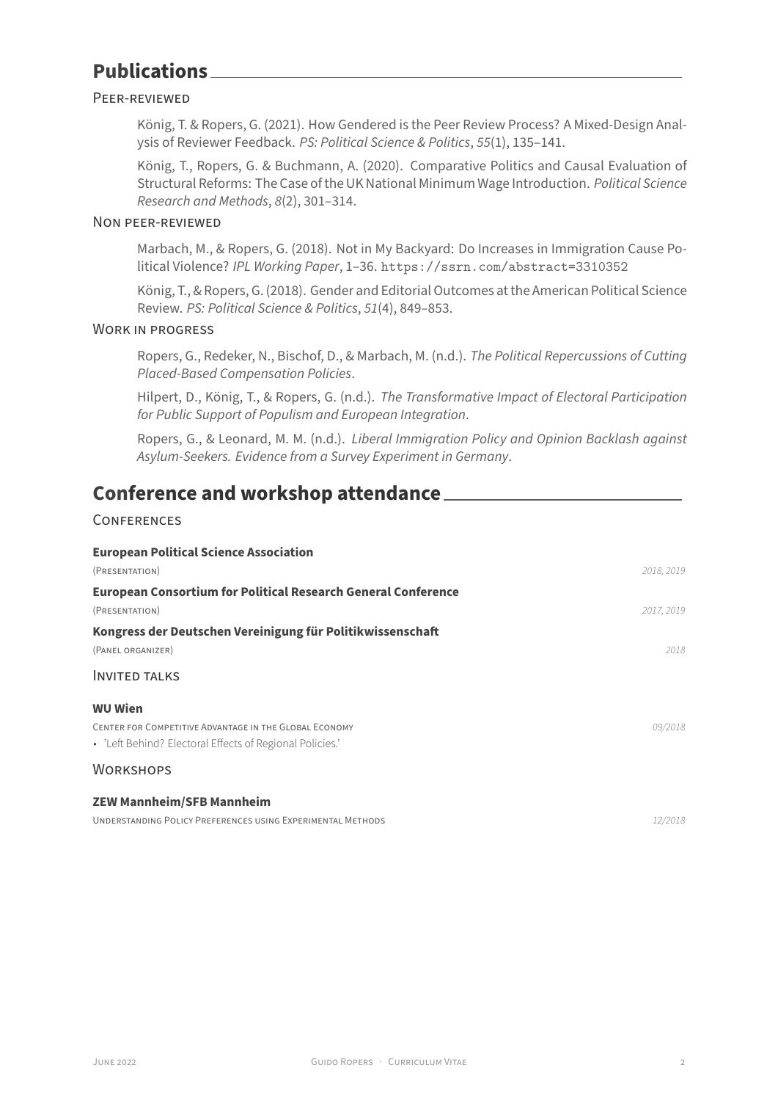## **Publications**

#### PEER‑REViEWED

König, T. & Ropers, G. (2021). How Gendered is the Peer Review Process? A Mixed-Design Analysis of Reviewer Feedback. *PS: Political Science & Politics*, *55*(1), 135–141.

König, T., Ropers, G. & Buchmann, A. (2020). Comparative Politics and Causal Evaluation of Structural Reforms: The Case of the UK National Minimum Wage Introduction. *Political Science Research and Methods*, *8*(2), 301–314.

#### NON PEER‑REViEWED

Marbach, M., & Ropers, G. (2018). Not in My Backyard: Do Increases in Immigration Cause Political Violence? *IPL Working Paper*, 1–36. <https://ssrn.com/abstract=3310352>

König, T., & Ropers, G. (2018). Gender and Editorial Outcomes at the American Political Science Review. *PS: Political Science & Politics*, *51*(4), 849–853.

#### WORK iN PROGRESS

Ropers, G., Redeker, N., Bischof, D., & Marbach, M. (n.d.). *The Political Repercussions of Cutting Placed‑Based Compensation Policies*.

Hilpert, D., König, T., & Ropers, G. (n.d.). *The Transformative Impact of Electoral Participation for Public Support of Populism and European Integration*.

Ropers, G., & Leonard, M. M. (n.d.). *Liberal Immigration Policy and Opinion Backlash against Asylum‑Seekers. Evidence from a Survey Experiment in Germany*.

### **Conference and workshop attendance**

#### **CONFERENCES**

| <b>European Political Science Association</b>                        |            |
|----------------------------------------------------------------------|------------|
| (PRESENTATION)                                                       | 2018, 2019 |
| <b>European Consortium for Political Research General Conference</b> |            |
| (PRESENTATION)                                                       | 2017, 2019 |
| Kongress der Deutschen Vereinigung für Politikwissenschaft           |            |
| (PANEL ORGANIZER)                                                    | 2018       |
| <b>INVITED TALKS</b>                                                 |            |
| <b>WU Wien</b>                                                       |            |
| CENTER FOR COMPETITIVE ADVANTAGE IN THE GLOBAL ECONOMY               | 09/2018    |
| • 'Left Behind? Electoral Effects of Regional Policies.'             |            |
| <b>WORKSHOPS</b>                                                     |            |
| <b>ZEW Mannheim/SFB Mannheim</b>                                     |            |
| UNDERSTANDING POLICY PREFERENCES USING EXPERIMENTAL METHODS          | 12/2018    |